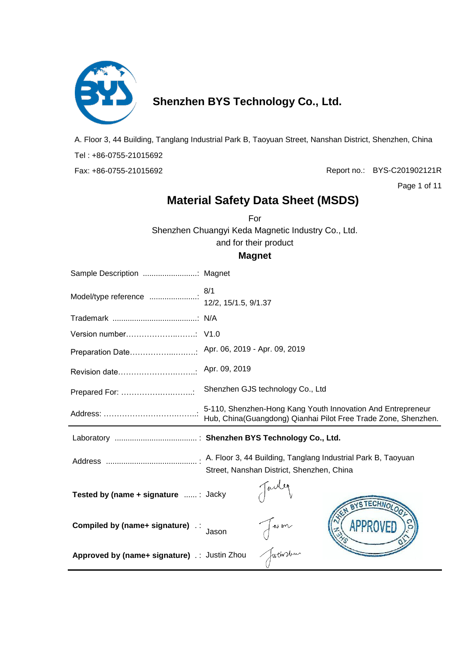

## **Shenzhen BYS Technology Co., Ltd.**

A. Floor 3, 44 Building, Tanglang Industrial Park B, Taoyuan Street, Nanshan District, Shenzhen, China Tel : +86-0755-21015692 Fax: +86-0755-21015692

Report no.: BYS-C201902121R

Page 1 of 11

### **Material Safety Data Sheet (MSDS)**

For

Shenzhen Chuangyi Keda Magnetic Industry Co., Ltd. and for their product

#### **Magnet**

| Preparation Date Apr. 06, 2019 - Apr. 09, 2019 |                                                                                                                               |
|------------------------------------------------|-------------------------------------------------------------------------------------------------------------------------------|
|                                                |                                                                                                                               |
|                                                |                                                                                                                               |
|                                                | 5-110, Shenzhen-Hong Kang Youth Innovation And Entrepreneur<br>Hub, China(Guangdong) Qianhai Pilot Free Trade Zone, Shenzhen. |
|                                                |                                                                                                                               |
|                                                | Street, Nanshan District, Shenzhen, China                                                                                     |
| Tested by (name + signature : Jacky            | Jarde<br>BYSTECHNOLO                                                                                                          |
| <b>Compiled by (name+ signature)</b> ::        | Jason<br>Jueinslum<br>Jason                                                                                                   |
| Approved by (name+ signature) :: Justin Zhou   |                                                                                                                               |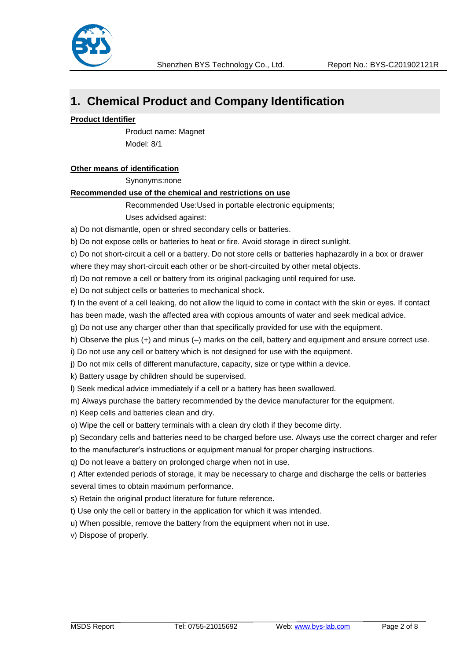

## **1. Chemical Product and Company Identification**

#### **Product Identifier**

 Product name: Magnet Model: 8/1

#### **Other means of identification**

Synonyms:none

#### **Recommended use of the chemical and restrictions on use**

Recommended Use:Used in portable electronic equipments; Uses advidsed against:

a) Do not dismantle, open or shred secondary cells or batteries.

b) Do not expose cells or batteries to heat or fire. Avoid storage in direct sunlight.

c) Do not short-circuit a cell or a battery. Do not store cells or batteries haphazardly in a box or drawer where they may short-circuit each other or be short-circuited by other metal objects.

d) Do not remove a cell or battery from its original packaging until required for use.

e) Do not subject cells or batteries to mechanical shock.

f) In the event of a cell leaking, do not allow the liquid to come in contact with the skin or eyes. If contact has been made, wash the affected area with copious amounts of water and seek medical advice.

g) Do not use any charger other than that specifically provided for use with the equipment.

h) Observe the plus (+) and minus (–) marks on the cell, battery and equipment and ensure correct use.

i) Do not use any cell or battery which is not designed for use with the equipment.

j) Do not mix cells of different manufacture, capacity, size or type within a device.

k) Battery usage by children should be supervised.

l) Seek medical advice immediately if a cell or a battery has been swallowed.

m) Always purchase the battery recommended by the device manufacturer for the equipment.

n) Keep cells and batteries clean and dry.

o) Wipe the cell or battery terminals with a clean dry cloth if they become dirty.

p) Secondary cells and batteries need to be charged before use. Always use the correct charger and refer

to the manufacturer's instructions or equipment manual for proper charging instructions.

q) Do not leave a battery on prolonged charge when not in use.

r) After extended periods of storage, it may be necessary to charge and discharge the cells or batteries several times to obtain maximum performance.

s) Retain the original product literature for future reference.

t) Use only the cell or battery in the application for which it was intended.

u) When possible, remove the battery from the equipment when not in use.

v) Dispose of properly.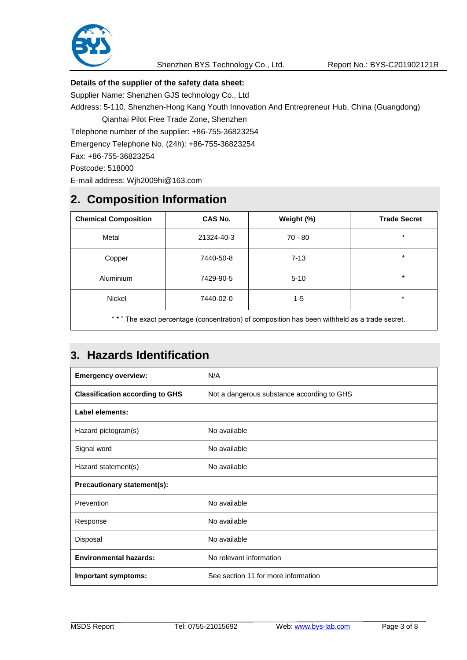

### **Details of the supplier of the safety data sheet:**

Supplier Name: Shenzhen GJS technology Co., Ltd

Address: 5-110, Shenzhen-Hong Kang Youth Innovation And Entrepreneur Hub, China (Guangdong)

Qianhai Pilot Free Trade Zone, Shenzhen

Telephone number of the supplier: +86-755-36823254

Emergency Telephone No. (24h): +86-755-36823254

Fax: +86-755-36823254

Postcode: 518000

E-mail address: Wjh2009hi@163.com

## **2. Composition Information**

| <b>Chemical Composition</b>        | CAS No.    | Weight (%)                                                                                                     | <b>Trade Secret</b> |
|------------------------------------|------------|----------------------------------------------------------------------------------------------------------------|---------------------|
| Metal                              | 21324-40-3 | $70 - 80$                                                                                                      | $\star$             |
| Copper                             | 7440-50-8  | $7 - 13$                                                                                                       | $\star$             |
| <b>Aluminium</b>                   | 7429-90-5  | $5 - 10$                                                                                                       | $\star$             |
| <b>Nickel</b>                      | 7440-02-0  | $1 - 5$                                                                                                        | $\star$             |
| $\alpha$ and $\alpha$ and $\alpha$ |            | rende de la construcción de la construcción de la construcción de la construcción de la construcción de la con |                     |

The exact percentage (concentration) of composition has been withheld as a trade secret.

## **3. Hazards Identification**

| <b>Emergency overview:</b>             | N/A                                        |
|----------------------------------------|--------------------------------------------|
| <b>Classification according to GHS</b> | Not a dangerous substance according to GHS |
| Label elements:                        |                                            |
| Hazard pictogram(s)                    | No available                               |
| Signal word                            | No available                               |
| Hazard statement(s)                    | No available                               |
| Precautionary statement(s):            |                                            |
| Prevention                             | No available                               |
| Response                               | No available                               |
| Disposal                               | No available                               |
| <b>Environmental hazards:</b>          | No relevant information                    |
| <b>Important symptoms:</b>             | See section 11 for more information        |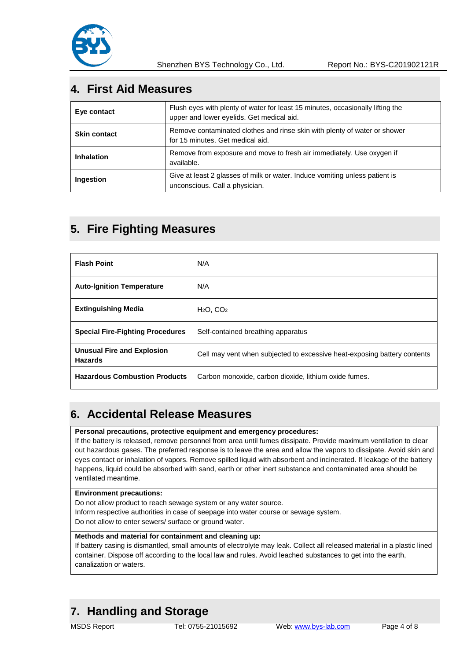

### **4. First Aid Measures**

| Eye contact         | Flush eyes with plenty of water for least 15 minutes, occasionally lifting the<br>upper and lower eyelids. Get medical aid. |
|---------------------|-----------------------------------------------------------------------------------------------------------------------------|
| <b>Skin contact</b> | Remove contaminated clothes and rinse skin with plenty of water or shower<br>for 15 minutes. Get medical aid.               |
| <b>Inhalation</b>   | Remove from exposure and move to fresh air immediately. Use oxygen if<br>available.                                         |
| <b>Ingestion</b>    | Give at least 2 glasses of milk or water. Induce vomiting unless patient is<br>unconscious. Call a physician.               |

### **5. Fire Fighting Measures**

| <b>Flash Point</b>                                  | N/A                                                                      |
|-----------------------------------------------------|--------------------------------------------------------------------------|
| <b>Auto-Ignition Temperature</b>                    | N/A                                                                      |
| <b>Extinguishing Media</b>                          | $H2O$ , $CO2$                                                            |
| <b>Special Fire-Fighting Procedures</b>             | Self-contained breathing apparatus                                       |
| <b>Unusual Fire and Explosion</b><br><b>Hazards</b> | Cell may vent when subjected to excessive heat-exposing battery contents |
| <b>Hazardous Combustion Products</b>                | Carbon monoxide, carbon dioxide, lithium oxide fumes.                    |

### **6. Accidental Release Measures**

#### **Personal precautions, protective equipment and emergency procedures:**

If the battery is released, remove personnel from area until fumes dissipate. Provide maximum ventilation to clear out hazardous gases. The preferred response is to leave the area and allow the vapors to dissipate. Avoid skin and eyes contact or inhalation of vapors. Remove spilled liquid with absorbent and incinerated. If leakage of the battery happens, liquid could be absorbed with sand, earth or other inert substance and contaminated area should be ventilated meantime.

#### **Environment precautions:**

Do not allow product to reach sewage system or any water source. Inform respective authorities in case of seepage into water course or sewage system. Do not allow to enter sewers/ surface or ground water.

#### **Methods and material for containment and cleaning up:**

If battery casing is dismantled, small amounts of electrolyte may leak. Collect all released material in a plastic lined container. Dispose off according to the local law and rules. Avoid leached substances to get into the earth, canalization or waters.

### **7. Handling and Storage**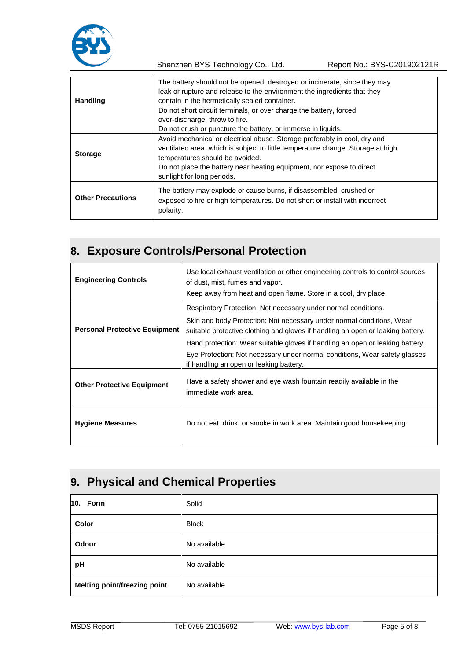

Shenzhen BYS Technology Co., Ltd. Report No.: BYS-C201902121R

| Handling                 | The battery should not be opened, destroyed or incinerate, since they may<br>leak or rupture and release to the environment the ingredients that they<br>contain in the hermetically sealed container.<br>Do not short circuit terminals, or over charge the battery, forced<br>over-discharge, throw to fire. |
|--------------------------|----------------------------------------------------------------------------------------------------------------------------------------------------------------------------------------------------------------------------------------------------------------------------------------------------------------|
|                          | Do not crush or puncture the battery, or immerse in liquids.                                                                                                                                                                                                                                                   |
| <b>Storage</b>           | Avoid mechanical or electrical abuse. Storage preferably in cool, dry and<br>ventilated area, which is subject to little temperature change. Storage at high<br>temperatures should be avoided.<br>Do not place the battery near heating equipment, nor expose to direct<br>sunlight for long periods.         |
| <b>Other Precautions</b> | The battery may explode or cause burns, if disassembled, crushed or<br>exposed to fire or high temperatures. Do not short or install with incorrect<br>polarity.                                                                                                                                               |

## **8. Exposure Controls/Personal Protection**

| <b>Engineering Controls</b>          | Use local exhaust ventilation or other engineering controls to control sources<br>of dust, mist, fumes and vapor.<br>Keep away from heat and open flame. Store in a cool, dry place.                                                                                                                                                                                                                                                 |
|--------------------------------------|--------------------------------------------------------------------------------------------------------------------------------------------------------------------------------------------------------------------------------------------------------------------------------------------------------------------------------------------------------------------------------------------------------------------------------------|
| <b>Personal Protective Equipment</b> | Respiratory Protection: Not necessary under normal conditions.<br>Skin and body Protection: Not necessary under normal conditions, Wear<br>suitable protective clothing and gloves if handling an open or leaking battery.<br>Hand protection: Wear suitable gloves if handling an open or leaking battery.<br>Eye Protection: Not necessary under normal conditions, Wear safety glasses<br>if handling an open or leaking battery. |
| <b>Other Protective Equipment</b>    | Have a safety shower and eye wash fountain readily available in the<br>immediate work area.                                                                                                                                                                                                                                                                                                                                          |
| <b>Hygiene Measures</b>              | Do not eat, drink, or smoke in work area. Maintain good housekeeping.                                                                                                                                                                                                                                                                                                                                                                |

# **9. Physical and Chemical Properties**

| 10. Form                     | Solid        |
|------------------------------|--------------|
| Color                        | <b>Black</b> |
| Odour                        | No available |
| pH                           | No available |
| Melting point/freezing point | No available |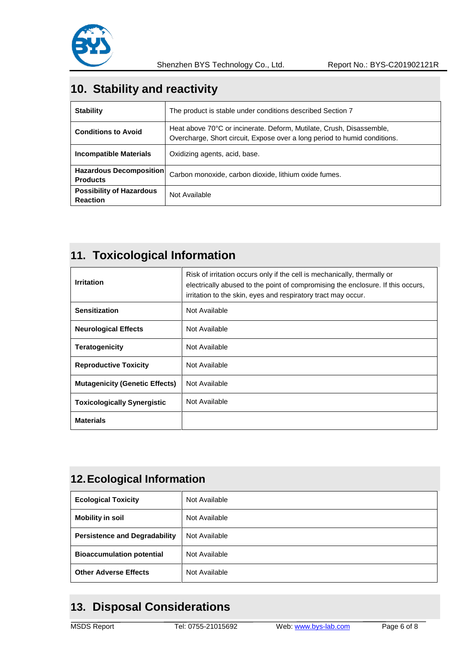

## **10. Stability and reactivity**

| <b>Stability</b>                                   | The product is stable under conditions described Section 7                                                                                        |
|----------------------------------------------------|---------------------------------------------------------------------------------------------------------------------------------------------------|
| <b>Conditions to Avoid</b>                         | Heat above 70°C or incinerate. Deform, Mutilate, Crush, Disassemble,<br>Overcharge, Short circuit, Expose over a long period to humid conditions. |
| Incompatible Materials                             | Oxidizing agents, acid, base.                                                                                                                     |
| <b>Hazardous Decomposition</b><br><b>Products</b>  | Carbon monoxide, carbon dioxide, lithium oxide fumes.                                                                                             |
| <b>Possibility of Hazardous</b><br><b>Reaction</b> | Not Available                                                                                                                                     |

## **11. Toxicological Information**

| <b>Irritation</b>                     | Risk of irritation occurs only if the cell is mechanically, thermally or<br>electrically abused to the point of compromising the enclosure. If this occurs,<br>irritation to the skin, eyes and respiratory tract may occur. |
|---------------------------------------|------------------------------------------------------------------------------------------------------------------------------------------------------------------------------------------------------------------------------|
| <b>Sensitization</b>                  | Not Available                                                                                                                                                                                                                |
| <b>Neurological Effects</b>           | Not Available                                                                                                                                                                                                                |
| <b>Teratogenicity</b>                 | Not Available                                                                                                                                                                                                                |
| <b>Reproductive Toxicity</b>          | Not Available                                                                                                                                                                                                                |
| <b>Mutagenicity (Genetic Effects)</b> | Not Available                                                                                                                                                                                                                |
| <b>Toxicologically Synergistic</b>    | Not Available                                                                                                                                                                                                                |
| <b>Materials</b>                      |                                                                                                                                                                                                                              |

## **12.Ecological Information**

| <b>Ecological Toxicity</b>           | Not Available |
|--------------------------------------|---------------|
| <b>Mobility in soil</b>              | Not Available |
| <b>Persistence and Degradability</b> | Not Available |
| <b>Bioaccumulation potential</b>     | Not Available |
| <b>Other Adverse Effects</b>         | Not Available |

## **13. Disposal Considerations**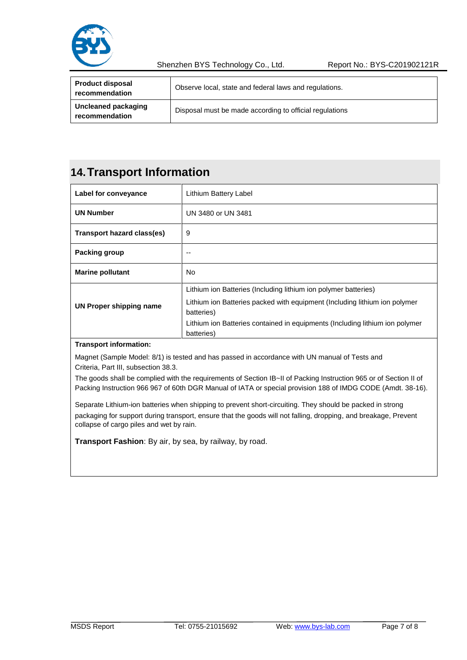

Shenzhen BYS Technology Co., Ltd. Report No.: BYS-C201902121R

| <b>Product disposal</b><br>recommendation | Observe local, state and federal laws and regulations.  |
|-------------------------------------------|---------------------------------------------------------|
| Uncleaned packaging<br>recommendation     | Disposal must be made according to official regulations |

## **14.Transport Information**

| Lithium Battery Label                                                                                                                                                                                                                                     |
|-----------------------------------------------------------------------------------------------------------------------------------------------------------------------------------------------------------------------------------------------------------|
| UN 3480 or UN 3481                                                                                                                                                                                                                                        |
| 9                                                                                                                                                                                                                                                         |
| --                                                                                                                                                                                                                                                        |
| No                                                                                                                                                                                                                                                        |
| Lithium ion Batteries (Including lithium ion polymer batteries)<br>Lithium ion Batteries packed with equipment (Including lithium ion polymer<br>batteries)<br>Lithium ion Batteries contained in equipments (Including lithium ion polymer<br>batteries) |
|                                                                                                                                                                                                                                                           |

#### **Transport information:**

Magnet (Sample Model: 8/1) is tested and has passed in accordance with UN manual of Tests and Criteria, Part III, subsection 38.3.

The goods shall be complied with the requirements of Section IB~II of Packing Instruction 965 or of Section II of Packing Instruction 966 967 of 60th DGR Manual of IATA or special provision 188 of IMDG CODE (Amdt. 38-16).

Separate Lithium-ion batteries when shipping to prevent short-circuiting. They should be packed in strong packaging for support during transport, ensure that the goods will not falling, dropping, and breakage, Prevent collapse of cargo piles and wet by rain.

**Transport Fashion**: By air, by sea, by railway, by road.